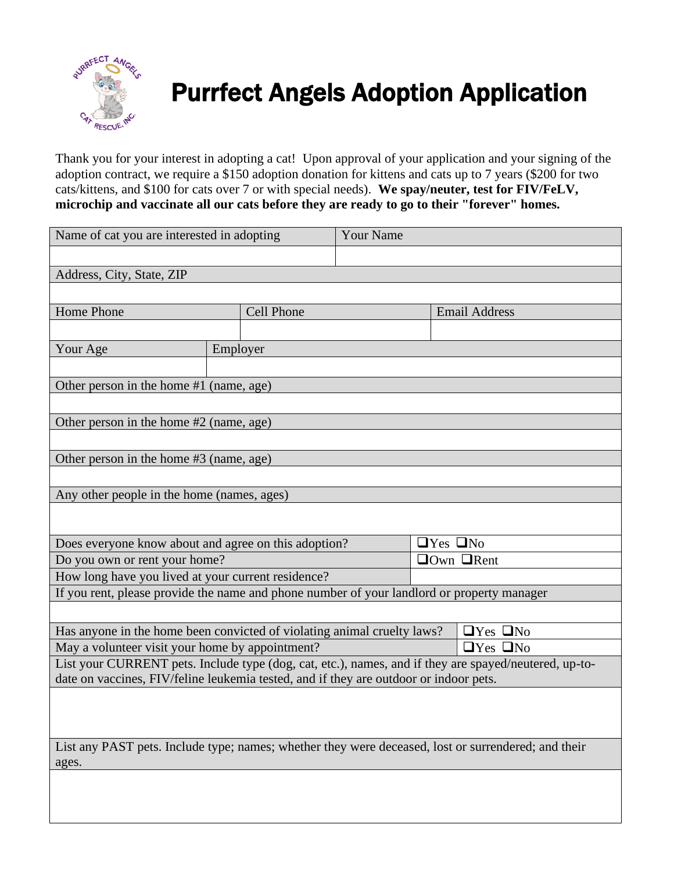

## Purrfect Angels Adoption Application

Thank you for your interest in adopting a cat! Upon approval of your application and your signing of the adoption contract, we require a \$150 adoption donation for kittens and cats up to 7 years (\$200 for two cats/kittens, and \$100 for cats over 7 or with special needs). **We spay/neuter, test for FIV/FeLV, microchip and vaccinate all our cats before they are ready to go to their "forever" homes.**

| Name of cat you are interested in adopting                                                                                                       |          |                                                | <b>Your Name</b> |                      |                      |  |
|--------------------------------------------------------------------------------------------------------------------------------------------------|----------|------------------------------------------------|------------------|----------------------|----------------------|--|
|                                                                                                                                                  |          |                                                |                  |                      |                      |  |
| Address, City, State, ZIP                                                                                                                        |          |                                                |                  |                      |                      |  |
|                                                                                                                                                  |          |                                                |                  |                      |                      |  |
| Home Phone                                                                                                                                       |          | <b>Cell Phone</b>                              |                  |                      | <b>Email Address</b> |  |
|                                                                                                                                                  |          |                                                |                  |                      |                      |  |
| Your Age                                                                                                                                         | Employer |                                                |                  |                      |                      |  |
|                                                                                                                                                  |          |                                                |                  |                      |                      |  |
| Other person in the home #1 (name, age)                                                                                                          |          |                                                |                  |                      |                      |  |
|                                                                                                                                                  |          |                                                |                  |                      |                      |  |
| Other person in the home #2 (name, age)                                                                                                          |          |                                                |                  |                      |                      |  |
|                                                                                                                                                  |          |                                                |                  |                      |                      |  |
| Other person in the home #3 (name, age)                                                                                                          |          |                                                |                  |                      |                      |  |
|                                                                                                                                                  |          |                                                |                  |                      |                      |  |
| Any other people in the home (names, ages)                                                                                                       |          |                                                |                  |                      |                      |  |
|                                                                                                                                                  |          |                                                |                  |                      |                      |  |
|                                                                                                                                                  |          |                                                |                  |                      |                      |  |
| Does everyone know about and agree on this adoption?<br>Do you own or rent your home?                                                            |          | $\Box$ Yes $\Box$ No<br>$\Box$ Own $\Box$ Rent |                  |                      |                      |  |
|                                                                                                                                                  |          |                                                |                  |                      |                      |  |
| How long have you lived at your current residence?<br>If you rent, please provide the name and phone number of your landlord or property manager |          |                                                |                  |                      |                      |  |
|                                                                                                                                                  |          |                                                |                  |                      |                      |  |
| Has anyone in the home been convicted of violating animal cruelty laws?<br>$\Box$ Yes $\Box$ No                                                  |          |                                                |                  |                      |                      |  |
| May a volunteer visit your home by appointment?                                                                                                  |          |                                                |                  | $\Box$ Yes $\Box$ No |                      |  |
| List your CURRENT pets. Include type (dog, cat, etc.), names, and if they are spayed/neutered, up-to-                                            |          |                                                |                  |                      |                      |  |
| date on vaccines, FIV/feline leukemia tested, and if they are outdoor or indoor pets.                                                            |          |                                                |                  |                      |                      |  |
|                                                                                                                                                  |          |                                                |                  |                      |                      |  |
|                                                                                                                                                  |          |                                                |                  |                      |                      |  |
|                                                                                                                                                  |          |                                                |                  |                      |                      |  |
| List any PAST pets. Include type; names; whether they were deceased, lost or surrendered; and their                                              |          |                                                |                  |                      |                      |  |
| ages.                                                                                                                                            |          |                                                |                  |                      |                      |  |
|                                                                                                                                                  |          |                                                |                  |                      |                      |  |